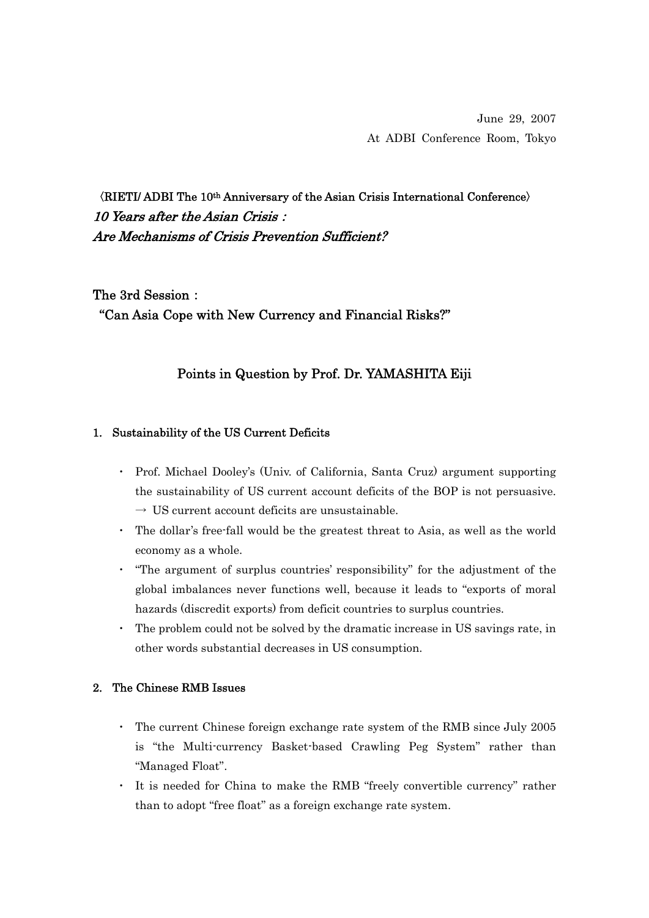June 29, 2007 At ADBI Conference Room, Tokyo

〈RIETI/ ADBI The 10th Anniversary of the Asian Crisis International Conference〉 10 Years after the Asian Crisis: Are Mechanisms of Crisis Prevention Sufficient?

The 3rd Session: "Can Asia Cope with New Currency and Financial Risks?"

## Points in Question by Prof. Dr. YAMASHITA Eiji

#### 1. Sustainability of the US Current Deficits

- ・ Prof. Michael Dooley's (Univ. of California, Santa Cruz) argument supporting the sustainability of US current account deficits of the BOP is not persuasive.  $\rightarrow$  US current account deficits are unsustainable.
- ・ The dollar's free-fall would be the greatest threat to Asia, as well as the world economy as a whole.
- ・ "The argument of surplus countries' responsibility" for the adjustment of the global imbalances never functions well, because it leads to "exports of moral hazards (discredit exports) from deficit countries to surplus countries.
- The problem could not be solved by the dramatic increase in US savings rate, in other words substantial decreases in US consumption.

#### 2. The Chinese RMB Issues

- ・ The current Chinese foreign exchange rate system of the RMB since July 2005 is "the Multi-currency Basket-based Crawling Peg System" rather than "Managed Float".
- ・ It is needed for China to make the RMB "freely convertible currency" rather than to adopt "free float" as a foreign exchange rate system.